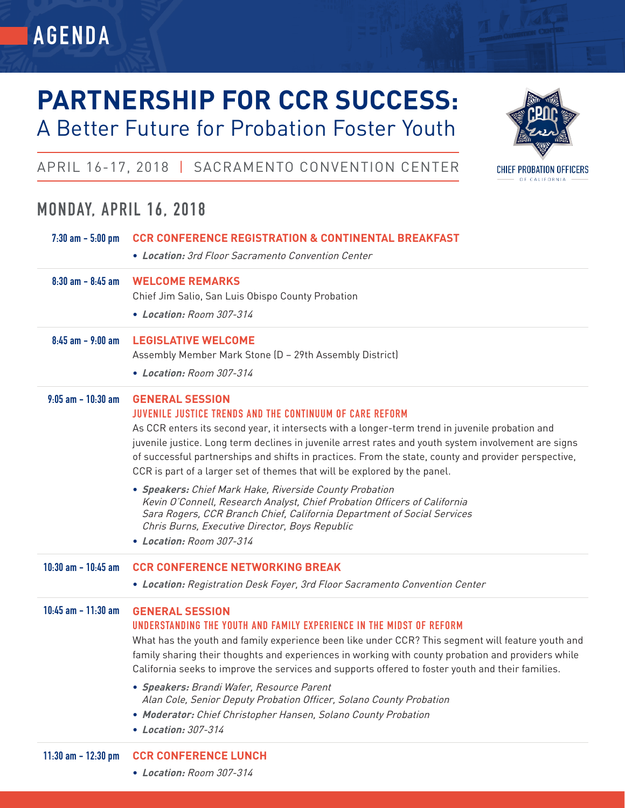# **PARTNERSHIP FOR CCR SUCCESS:**



### APRIL 16-17, 2018 | SACRAMENTO CONVENTION CENTER

A Better Future for Probation Foster Youth

### **MONDAY, APRIL 16, 2018**

**AGENDA**

| $7:30$ am $-5:00$ pm    | <b>CCR CONFERENCE REGISTRATION &amp; CONTINENTAL BREAKFAST</b><br>• Location: 3rd Floor Sacramento Convention Center                                                                                                                                                                                                                                                                                                                                                                                                                                                                                                                                                                                                                                    |
|-------------------------|---------------------------------------------------------------------------------------------------------------------------------------------------------------------------------------------------------------------------------------------------------------------------------------------------------------------------------------------------------------------------------------------------------------------------------------------------------------------------------------------------------------------------------------------------------------------------------------------------------------------------------------------------------------------------------------------------------------------------------------------------------|
| $8:30$ am $-8:45$ am    | <b>WELCOME REMARKS</b><br>Chief Jim Salio, San Luis Obispo County Probation<br>• Location: Room 307-314                                                                                                                                                                                                                                                                                                                                                                                                                                                                                                                                                                                                                                                 |
| $8:45$ am - $9:00$ am   | <b>LEGISLATIVE WELCOME</b><br>Assembly Member Mark Stone (D - 29th Assembly District)<br>• Location: Room 307-314                                                                                                                                                                                                                                                                                                                                                                                                                                                                                                                                                                                                                                       |
| $9:05$ am $-10:30$ am   | <b>GENERAL SESSION</b><br>JUVENILE JUSTICE TRENDS AND THE CONTINUUM OF CARE REFORM<br>As CCR enters its second year, it intersects with a longer-term trend in juvenile probation and<br>juvenile justice. Long term declines in juvenile arrest rates and youth system involvement are signs<br>of successful partnerships and shifts in practices. From the state, county and provider perspective,<br>CCR is part of a larger set of themes that will be explored by the panel.<br>• Speakers: Chief Mark Hake, Riverside County Probation<br>Kevin O'Connell, Research Analyst, Chief Probation Officers of California<br>Sara Rogers, CCR Branch Chief, California Department of Social Services<br>Chris Burns, Executive Director, Boys Republic |
|                         | • Location: Room 307-314                                                                                                                                                                                                                                                                                                                                                                                                                                                                                                                                                                                                                                                                                                                                |
| $10:30$ am $- 10:45$ am | <b>CCR CONFERENCE NETWORKING BREAK</b><br>• Location: Registration Desk Foyer, 3rd Floor Sacramento Convention Center                                                                                                                                                                                                                                                                                                                                                                                                                                                                                                                                                                                                                                   |
| $10:45$ am $-11:30$ am  | <b>GENERAL SESSION</b><br>UNDERSTANDING THE YOUTH AND FAMILY EXPERIENCE IN THE MIDST OF REFORM<br>What has the youth and family experience been like under CCR? This segment will feature youth and<br>family sharing their thoughts and experiences in working with county probation and providers while<br>California seeks to improve the services and supports offered to foster youth and their families.<br>• Speakers: Brandi Wafer, Resource Parent<br>Alan Cole, Senior Deputy Probation Officer, Solano County Probation<br>• Moderator: Chief Christopher Hansen, Solano County Probation<br>• Location: 307-314                                                                                                                             |
| $11:30$ am $- 12:30$ pm | <b>CCR CONFERENCE LUNCH</b><br>• Location: Room 307-314                                                                                                                                                                                                                                                                                                                                                                                                                                                                                                                                                                                                                                                                                                 |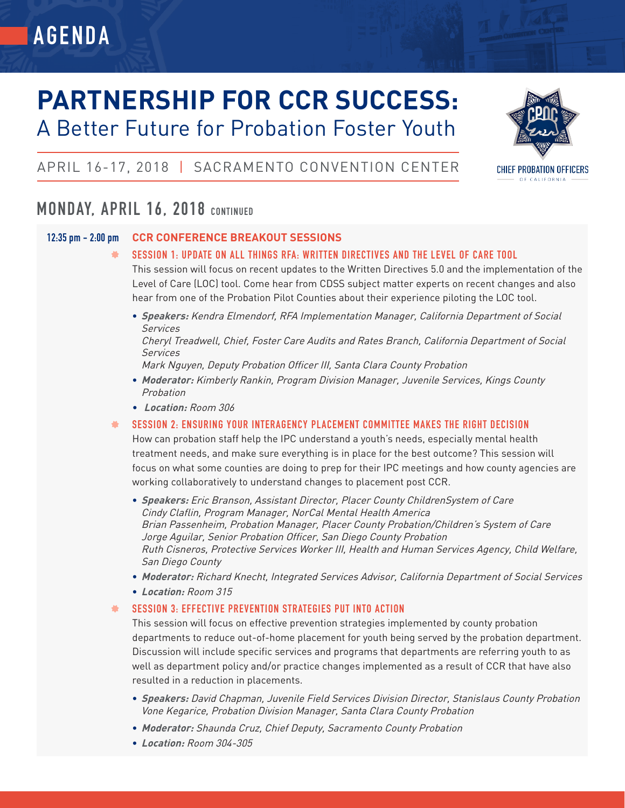## **PARTNERSHIP FOR CCR SUCCESS:** A Better Future for Probation Foster Youth



### APRIL 16-17, 2018 | SACRAMENTO CONVENTION CENTER

### **MONDAY, APRIL 16, 2018 CONTINUED**

### **12:35 pm - 2:00 pm CCR CONFERENCE BREAKOUT SESSIONS**

- **SESSION 1: UPDATE ON ALL THINGS RFA: WRITTEN DIRECTIVES AND THE LEVEL OF CARE TOOL** This session will focus on recent updates to the Written Directives 5.0 and the implementation of the Level of Care (LOC) tool. Come hear from CDSS subject matter experts on recent changes and also hear from one of the Probation Pilot Counties about their experience piloting the LOC tool.
	- **• Speakers:** Kendra Elmendorf, RFA Implementation Manager, California Department of Social Services

Cheryl Treadwell, Chief, Foster Care Audits and Rates Branch, California Department of Social Services

Mark Nguyen, Deputy Probation Officer III, Santa Clara County Probation

- **• Moderator:** Kimberly Rankin, Program Division Manager, Juvenile Services, Kings County Probation
- **Location:** Room 306
- **SESSION 2: ENSURING YOUR INTERAGENCY PLACEMENT COMMITTEE MAKES THE RIGHT DECISION ALC**

How can probation staff help the IPC understand a youth's needs, especially mental health treatment needs, and make sure everything is in place for the best outcome? This session will focus on what some counties are doing to prep for their IPC meetings and how county agencies are working collaboratively to understand changes to placement post CCR.

- **• Speakers:** Eric Branson, Assistant Director, Placer County ChildrenSystem of Care Cindy Claflin, Program Manager, NorCal Mental Health America Brian Passenheim, Probation Manager, Placer County Probation/Children's System of Care Jorge Aguilar, Senior Probation Officer, San Diego County Probation Ruth Cisneros, Protective Services Worker III, Health and Human Services Agency, Child Welfare, San Diego County
- **• Moderator:** Richard Knecht, Integrated Services Advisor, California Department of Social Services
- **• Location:** Room 315

#### **SESSION 3: EFFECTIVE PREVENTION STRATEGIES PUT INTO ACTION** ۰.

This session will focus on effective prevention strategies implemented by county probation departments to reduce out-of-home placement for youth being served by the probation department. Discussion will include specific services and programs that departments are referring youth to as well as department policy and/or practice changes implemented as a result of CCR that have also resulted in a reduction in placements.

- **• Speakers:** David Chapman, Juvenile Field Services Division Director, Stanislaus County Probation Vone Kegarice, Probation Division Manager, Santa Clara County Probation
- **• Moderator:** Shaunda Cruz, Chief Deputy, Sacramento County Probation
- **• Location:** Room 304-305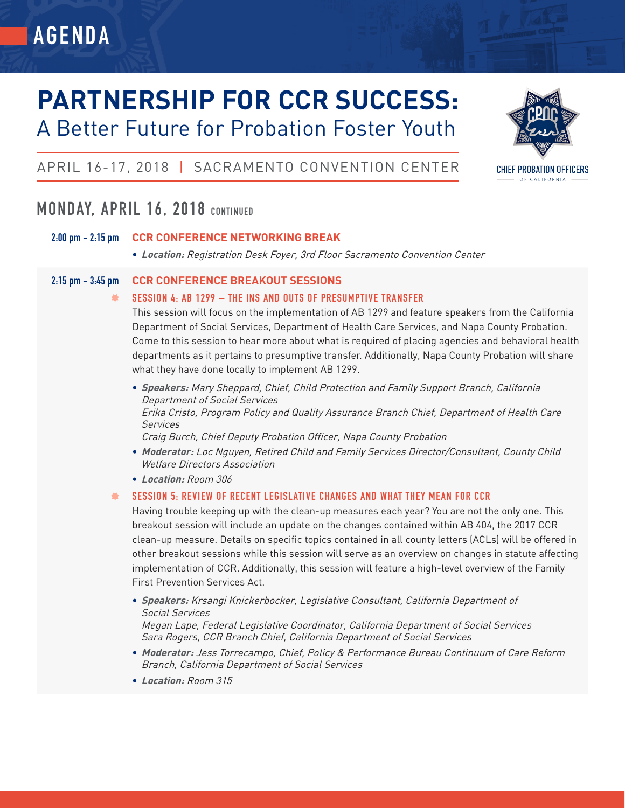# **PARTNERSHIP FOR CCR SUCCESS:**

# A Better Future for Probation Foster Youth



### APRIL 16-17, 2018 | SACRAMENTO CONVENTION CENTER

### **MONDAY, APRIL 16, 2018 CONTINUED**

**AGENDA**

### **2:00 pm - 2:15 pm CCR CONFERENCE NETWORKING BREAK**

**• Location:** Registration Desk Foyer, 3rd Floor Sacramento Convention Center

### **2:15 pm - 3:45 pm CCR CONFERENCE BREAKOUT SESSIONS**

### $\frac{1}{2}$ **SESSION 4: AB 1299 – THE INS AND OUTS OF PRESUMPTIVE TRANSFER**

This session will focus on the implementation of AB 1299 and feature speakers from the California Department of Social Services, Department of Health Care Services, and Napa County Probation. Come to this session to hear more about what is required of placing agencies and behavioral health departments as it pertains to presumptive transfer. Additionally, Napa County Probation will share what they have done locally to implement AB 1299.

**• Speakers:** Mary Sheppard, Chief, Child Protection and Family Support Branch, California Department of Social Services Erika Cristo, Program Policy and Quality Assurance Branch Chief, Department of Health Care Services

Craig Burch, Chief Deputy Probation Officer, Napa County Probation

- **• Moderator:** Loc Nguyen, Retired Child and Family Services Director/Consultant, County Child Welfare Directors Association
- **• Location:** Room 306

### 盖 **SESSION 5: REVIEW OF RECENT LEGISLATIVE CHANGES AND WHAT THEY MEAN FOR CCR**

Having trouble keeping up with the clean-up measures each year? You are not the only one. This breakout session will include an update on the changes contained within AB 404, the 2017 CCR clean-up measure. Details on specific topics contained in all county letters (ACLs) will be offered in other breakout sessions while this session will serve as an overview on changes in statute affecting implementation of CCR. Additionally, this session will feature a high-level overview of the Family First Prevention Services Act.

- **• Speakers:** Krsangi Knickerbocker, Legislative Consultant, California Department of Social Services Megan Lape, Federal Legislative Coordinator, California Department of Social Services
- Sara Rogers, CCR Branch Chief, California Department of Social Services
- **• Moderator:** Jess Torrecampo, Chief, Policy & Performance Bureau Continuum of Care Reform Branch, California Department of Social Services
- **• Location:** Room 315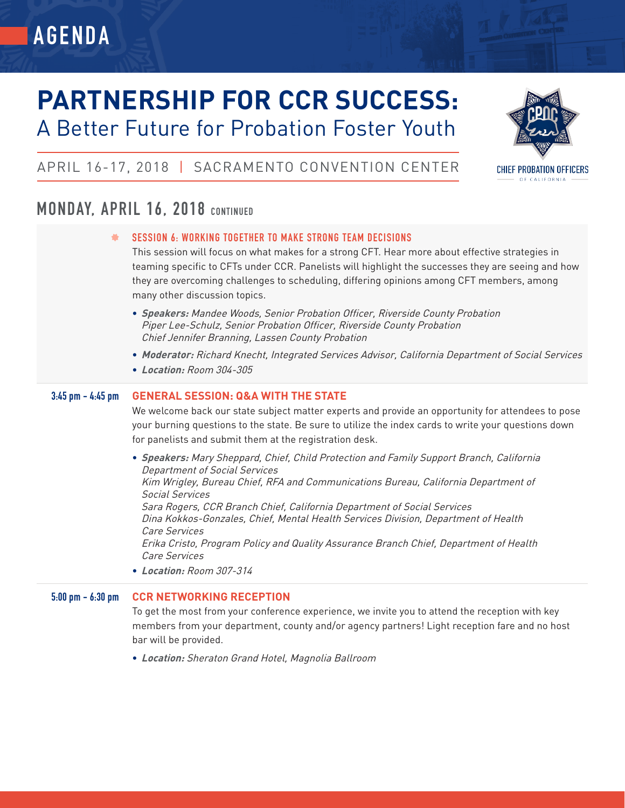# **PARTNERSHIP FOR CCR SUCCESS:** A Better Future for Probation Foster Youth



### APRIL 16-17, 2018 | SACRAMENTO CONVENTION CENTER

### **MONDAY, APRIL 16, 2018 CONTINUED**

**AGENDA**

|  |  |  |  |  |  | SESSION 6: WORKING TOGETHER TO MAKE STRONG TEAM DECISIONS |
|--|--|--|--|--|--|-----------------------------------------------------------|
|--|--|--|--|--|--|-----------------------------------------------------------|

This session will focus on what makes for a strong CFT. Hear more about effective strategies in teaming specific to CFTs under CCR. Panelists will highlight the successes they are seeing and how they are overcoming challenges to scheduling, differing opinions among CFT members, among many other discussion topics.

- **• Speakers:** Mandee Woods, Senior Probation Officer, Riverside County Probation Piper Lee-Schulz, Senior Probation Officer, Riverside County Probation Chief Jennifer Branning, Lassen County Probation
- **• Moderator:** Richard Knecht, Integrated Services Advisor, California Department of Social Services
- **• Location:** Room 304-305

### **3:45 pm - 4:45 pm GENERAL SESSION: Q&A WITH THE STATE**

We welcome back our state subject matter experts and provide an opportunity for attendees to pose your burning questions to the state. Be sure to utilize the index cards to write your questions down for panelists and submit them at the registration desk.

**• Speakers:** Mary Sheppard, Chief, Child Protection and Family Support Branch, California Department of Social Services Kim Wrigley, Bureau Chief, RFA and Communications Bureau, California Department of Social Services Sara Rogers, CCR Branch Chief, California Department of Social Services Dina Kokkos-Gonzales, Chief, Mental Health Services Division, Department of Health Care Services Erika Cristo, Program Policy and Quality Assurance Branch Chief, Department of Health Care Services **• Location:** Room 307-314

### **5:00 pm - 6:30 pm CCR NETWORKING RECEPTION**

To get the most from your conference experience, we invite you to attend the reception with key members from your department, county and/or agency partners! Light reception fare and no host bar will be provided.

**• Location:** Sheraton Grand Hotel, Magnolia Ballroom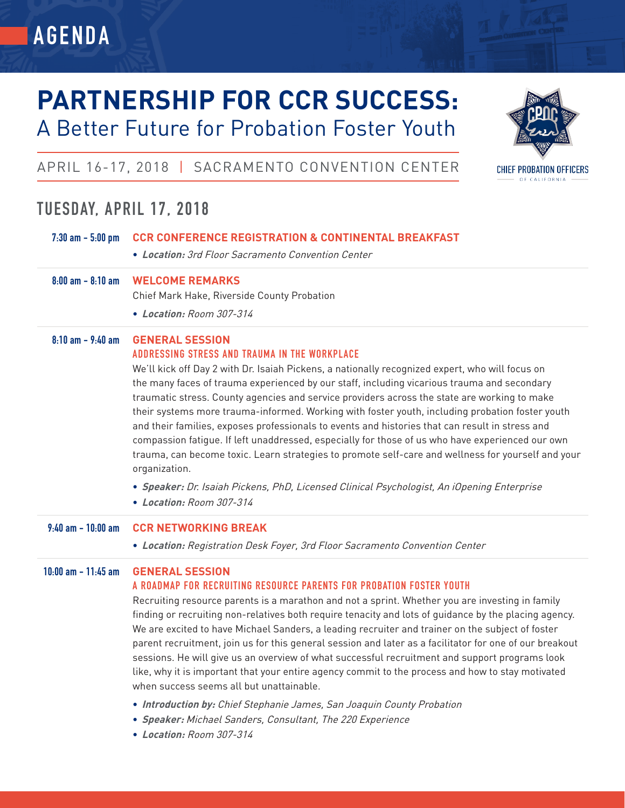# **PARTNERSHIP FOR CCR SUCCESS:** A Better Future for Probation Foster Youth



### APRIL 16-17, 2018 | SACRAMENTO CONVENTION CENTER

### **TUESDAY, APRIL 17, 2018**

**AGENDA**

| $7:30$ am $-5:00$ pm   | <b>CCR CONFERENCE REGISTRATION &amp; CONTINENTAL BREAKFAST</b><br>• Location: 3rd Floor Sacramento Convention Center                                                                                                                                                                                                                                                                                                                                                                                                                                                                                                                                                                                                                                                                                                                                                                                                                             |
|------------------------|--------------------------------------------------------------------------------------------------------------------------------------------------------------------------------------------------------------------------------------------------------------------------------------------------------------------------------------------------------------------------------------------------------------------------------------------------------------------------------------------------------------------------------------------------------------------------------------------------------------------------------------------------------------------------------------------------------------------------------------------------------------------------------------------------------------------------------------------------------------------------------------------------------------------------------------------------|
| $8:00$ am $- 8:10$ am  | <b>WELCOME REMARKS</b><br>Chief Mark Hake, Riverside County Probation<br>• Location: Room 307-314                                                                                                                                                                                                                                                                                                                                                                                                                                                                                                                                                                                                                                                                                                                                                                                                                                                |
| $8:10$ am $ 9:40$ am   | <b>GENERAL SESSION</b><br>ADDRESSING STRESS AND TRAUMA IN THE WORKPLACE<br>We'll kick off Day 2 with Dr. Isaiah Pickens, a nationally recognized expert, who will focus on<br>the many faces of trauma experienced by our staff, including vicarious trauma and secondary<br>traumatic stress. County agencies and service providers across the state are working to make<br>their systems more trauma-informed. Working with foster youth, including probation foster youth<br>and their families, exposes professionals to events and histories that can result in stress and<br>compassion fatigue. If left unaddressed, especially for those of us who have experienced our own<br>trauma, can become toxic. Learn strategies to promote self-care and wellness for yourself and your<br>organization.<br>• Speaker: Dr. Isaiah Pickens, PhD, Licensed Clinical Psychologist, An iOpening Enterprise<br>• Location: Room 307-314             |
|                        |                                                                                                                                                                                                                                                                                                                                                                                                                                                                                                                                                                                                                                                                                                                                                                                                                                                                                                                                                  |
| $9:40$ am $-10:00$ am  | <b>CCR NETWORKING BREAK</b><br>• Location: Registration Desk Foyer, 3rd Floor Sacramento Convention Center                                                                                                                                                                                                                                                                                                                                                                                                                                                                                                                                                                                                                                                                                                                                                                                                                                       |
| $10:00$ am $-11:45$ am | <b>GENERAL SESSION</b><br>A ROADMAP FOR RECRUITING RESOURCE PARENTS FOR PROBATION FOSTER YOUTH<br>Recruiting resource parents is a marathon and not a sprint. Whether you are investing in family<br>finding or recruiting non-relatives both require tenacity and lots of guidance by the placing agency.<br>We are excited to have Michael Sanders, a leading recruiter and trainer on the subject of foster<br>parent recruitment, join us for this general session and later as a facilitator for one of our breakout<br>sessions. He will give us an overview of what successful recruitment and support programs look<br>like, why it is important that your entire agency commit to the process and how to stay motivated<br>when success seems all but unattainable.<br>• Introduction by: Chief Stephanie James, San Joaquin County Probation<br>• Speaker: Michael Sanders, Consultant, The 220 Experience<br>• Location: Room 307-314 |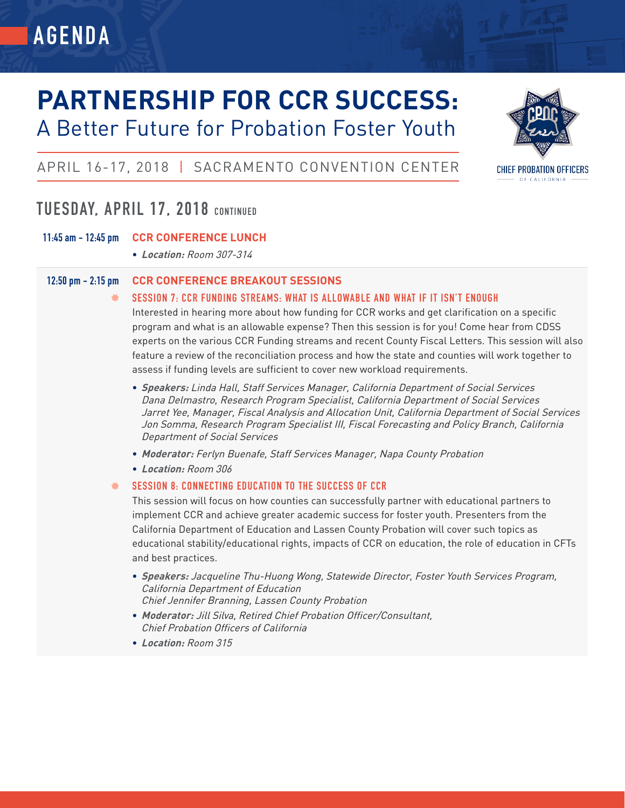## **PARTNERSHIP FOR CCR SUCCESS:** A Better Future for Probation Foster Youth



### APRIL 16-17, 2018 | SACRAMENTO CONVENTION CENTER

### **TUESDAY, APRIL 17, 2018 CONTINUED**

### **11:45 am - 12:45 pm CCR CONFERENCE LUNCH**

**• Location:** Room 307-314

### **12:50 pm - 2:15 pm CCR CONFERENCE BREAKOUT SESSIONS**

#### 基 **SESSION 7: CCR FUNDING STREAMS: WHAT IS ALLOWABLE AND WHAT IF IT ISN'T ENOUGH**

Interested in hearing more about how funding for CCR works and get clarification on a specific program and what is an allowable expense? Then this session is for you! Come hear from CDSS experts on the various CCR Funding streams and recent County Fiscal Letters. This session will also feature a review of the reconciliation process and how the state and counties will work together to assess if funding levels are sufficient to cover new workload requirements.

- **• Speakers:** Linda Hall, Staff Services Manager, California Department of Social Services Dana Delmastro, Research Program Specialist, California Department of Social Services Jarret Yee, Manager, Fiscal Analysis and Allocation Unit, California Department of Social Services Jon Somma, Research Program Specialist III, Fiscal Forecasting and Policy Branch, California Department of Social Services
- **• Moderator:** Ferlyn Buenafe, Staff Services Manager, Napa County Probation
- **• Location:** Room 306

### **SESSION 8: CONNECTING EDUCATION TO THE SUCCESS OF CCR** 풀

This session will focus on how counties can successfully partner with educational partners to implement CCR and achieve greater academic success for foster youth. Presenters from the California Department of Education and Lassen County Probation will cover such topics as educational stability/educational rights, impacts of CCR on education, the role of education in CFTs and best practices.

- **• Speakers:** Jacqueline Thu-Huong Wong, Statewide Director, Foster Youth Services Program, California Department of Education Chief Jennifer Branning, Lassen County Probation
- **• Moderator:** Jill Silva, Retired Chief Probation Officer/Consultant, Chief Probation Officers of California
- **• Location:** Room 315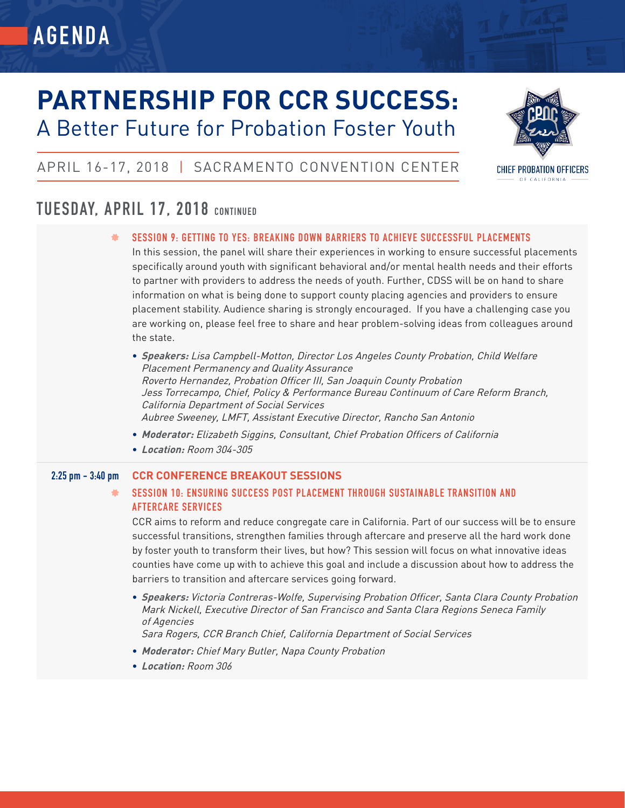# **PARTNERSHIP FOR CCR SUCCESS:** A Better Future for Probation Foster Youth



### APRIL 16-17, 2018 | SACRAMENTO CONVENTION CENTER

### **TUESDAY, APRIL 17, 2018 CONTINUED**

**SESSION 9: GETTING TO YES: BREAKING DOWN BARRIERS TO ACHIEVE SUCCESSFUL PLACEMENTS**

In this session, the panel will share their experiences in working to ensure successful placements specifically around youth with significant behavioral and/or mental health needs and their efforts to partner with providers to address the needs of youth. Further, CDSS will be on hand to share information on what is being done to support county placing agencies and providers to ensure placement stability. Audience sharing is strongly encouraged. If you have a challenging case you are working on, please feel free to share and hear problem-solving ideas from colleagues around the state.

- **• Speakers:** Lisa Campbell-Motton, Director Los Angeles County Probation, Child Welfare Placement Permanency and Quality Assurance Roverto Hernandez, Probation Officer III, San Joaquin County Probation Jess Torrecampo, Chief, Policy & Performance Bureau Continuum of Care Reform Branch, California Department of Social Services Aubree Sweeney, LMFT, Assistant Executive Director, Rancho San Antonio
- **• Moderator:** Elizabeth Siggins, Consultant, Chief Probation Officers of California
- **• Location:** Room 304-305

### **2:25 pm - 3:40 pm CCR CONFERENCE BREAKOUT SESSIONS**

### $\frac{1}{2}$ **SESSION 10: ENSURING SUCCESS POST PLACEMENT THROUGH SUSTAINABLE TRANSITION AND AFTERCARE SERVICES**

CCR aims to reform and reduce congregate care in California. Part of our success will be to ensure successful transitions, strengthen families through aftercare and preserve all the hard work done by foster youth to transform their lives, but how? This session will focus on what innovative ideas counties have come up with to achieve this goal and include a discussion about how to address the barriers to transition and aftercare services going forward.

**• Speakers:** Victoria Contreras-Wolfe, Supervising Probation Officer, Santa Clara County Probation Mark Nickell, Executive Director of San Francisco and Santa Clara Regions Seneca Family of Agencies

Sara Rogers, CCR Branch Chief, California Department of Social Services

- **• Moderator:** Chief Mary Butler, Napa County Probation
- **• Location:** Room 306